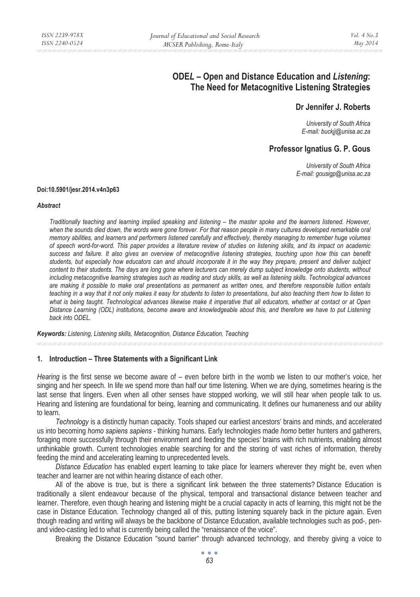# **ODE***L* **– Open and Distance Education and** *Listening***: The Need for Metacognitive Listening Strategies**

## **Dr Jennifer J. Roberts**

*University of South Africa E-mail: buckjj@unisa.ac.za* 

## **Professor Ignatius G. P. Gous**

*University of South Africa E-mail: gousigp@unisa.ac.za* 

#### **Doi:10.5901/jesr.2014.v4n3p63**

#### *Abstract*

*Traditionally teaching and learning implied speaking and listening – the master spoke and the learners listened. However,*  when the sounds died down, the words were gone forever. For that reason people in many cultures developed remarkable oral *memory abilities, and learners and performers listened carefully and effectively, thereby managing to remember huge volumes of speech word-for-word. This paper provides a literature review of studies on listening skills, and its impact on academic*  success and failure. It also gives an overview of metacognitive listening strategies, touching upon how this can benefit *students, but especially how educators can and should incorporate it in the way they prepare, present and deliver subject content to their students. The days are long gone where lecturers can merely dump subject knowledge onto students, without including metacognitive learning strategies such as reading and study skills, as well as listening skills. Technological advances are making it possible to make oral presentations as permanent as written ones, and therefore responsible tuition entails teaching in a way that it not only makes it easy for students to listen to presentations, but also teaching them how to listen to what is being taught. Technological advances likewise make it imperative that all educators, whether at contact or at Open Distance Learning (ODL) institutions, become aware and knowledgeable about this, and therefore we have to put Listening back into ODEL.* 

*Keywords: Listening, Listening skills, Metacognition, Distance Education, Teaching* 

#### **1. Introduction – Three Statements with a Significant Link**

*Hearing* is the first sense we become aware of – even before birth in the womb we listen to our mother's voice, her singing and her speech. In life we spend more than half our time listening. When we are dying, sometimes hearing is the last sense that lingers. Even when all other senses have stopped working, we will still hear when people talk to us. Hearing and listening are foundational for being, learning and communicating. It defines our humaneness and our ability to learn.

*Technology* is a distinctly human capacity. Tools shaped our earliest ancestors' brains and minds, and accelerated us into becoming *homo sapiens sapiens* - thinking humans. Early technologies made *homo* better hunters and gatherers, foraging more successfully through their environment and feeding the species' brains with rich nutrients, enabling almost unthinkable growth. Current technologies enable searching for and the storing of vast riches of information, thereby feeding the mind and accelerating learning to unprecedented levels.

*Distance Education* has enabled expert learning to take place for learners wherever they might be, even when teacher and learner are not within hearing distance of each other.

All of the above is true, but is there a significant link between the three statements? Distance Education is traditionally a silent endeavour because of the physical, temporal and transactional distance between teacher and learner. Therefore, even though hearing and listening might be a crucial capacity in acts of learning, this might not be the case in Distance Education. Technology changed all of this, putting listening squarely back in the picture again. Even though reading and writing will always be the backbone of Distance Education, available technologies such as pod-, penand video-casting led to what is currently being called the "renaissance of the voice".

Breaking the Distance Education "sound barrier" through advanced technology, and thereby giving a voice to

 $\bullet$   $\bullet$   $\bullet$ *63*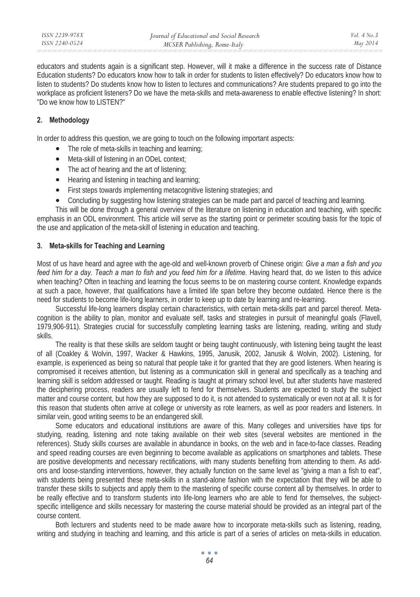educators and students again is a significant step. However, will it make a difference in the success rate of Distance Education students? Do educators know how to talk in order for students to listen effectively? Do educators know how to listen to students? Do students know how to listen to lectures and communications? Are students prepared to go into the workplace as proficient listeners? Do we have the meta-skills and meta-awareness to enable effective listening? In short: "Do we know how to LISTEN?"

## **2. Methodology**

In order to address this question, we are going to touch on the following important aspects:

- The role of meta-skills in teaching and learning;
- Meta-skill of listening in an ODeL context;
- The act of hearing and the art of listening;
- Hearing and listening in teaching and learning;
- First steps towards implementing metacognitive listening strategies; and
- Concluding by suggesting how listening strategies can be made part and parcel of teaching and learning.

This will be done through a general overview of the literature on listening in education and teaching, with specific emphasis in an ODL environment. This article will serve as the starting point or perimeter scouting basis for the topic of the use and application of the meta-skill of listening in education and teaching.

### **3. Meta-skills for Teaching and Learning**

Most of us have heard and agree with the age-old and well-known proverb of Chinese origin: *Give a man a fish and you feed him for a day. Teach a man to fish and you feed him for a lifetime.* Having heard that, do we listen to this advice when teaching? Often in teaching and learning the focus seems to be on mastering course content. Knowledge expands at such a pace, however, that qualifications have a limited life span before they become outdated. Hence there is the need for students to become life-long learners, in order to keep up to date by learning and re-learning.

Successful life-long learners display certain characteristics, with certain meta-skills part and parcel thereof. Metacognition is the ability to plan, monitor and evaluate self, tasks and strategies in pursuit of meaningful goals (Flavell, 1979,906-911). Strategies crucial for successfully completing learning tasks are listening, reading, writing and study skills.

The reality is that these skills are seldom taught or being taught continuously, with listening being taught the least of all (Coakley & Wolvin, 1997, Wacker & Hawkins, 1995, Janusik, 2002, Janusik & Wolvin, 2002). Listening, for example, is experienced as being so natural that people take it for granted that they are good listeners. When hearing is compromised it receives attention, but listening as a communication skill in general and specifically as a teaching and learning skill is seldom addressed or taught. Reading is taught at primary school level, but after students have mastered the deciphering process, readers are usually left to fend for themselves. Students are expected to study the subject matter and course content, but how they are supposed to do it, is not attended to systematically or even not at all. It is for this reason that students often arrive at college or university as rote learners, as well as poor readers and listeners. In similar vein, good writing seems to be an endangered skill.

Some educators and educational institutions are aware of this. Many colleges and universities have tips for studying, reading, listening and note taking available on their web sites (several websites are mentioned in the references). Study skills courses are available in abundance in books, on the web and in face-to-face classes. Reading and speed reading courses are even beginning to become available as applications on smartphones and tablets. These are positive developments and necessary rectifications, with many students benefiting from attending to them. As addons and loose-standing interventions, however, they actually function on the same level as "giving a man a fish to eat", with students being presented these meta-skills in a stand-alone fashion with the expectation that they will be able to transfer these skills to subjects and apply them to the mastering of specific course content all by themselves. In order to be really effective and to transform students into life-long learners who are able to fend for themselves, the subjectspecific intelligence and skills necessary for mastering the course material should be provided as an integral part of the course content.

Both lecturers and students need to be made aware how to incorporate meta-skills such as listening, reading, writing and studying in teaching and learning, and this article is part of a series of articles on meta-skills in education.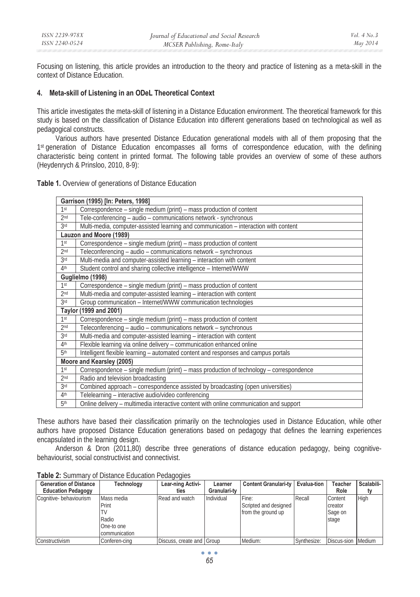Focusing on listening, this article provides an introduction to the theory and practice of listening as a meta-skill in the context of Distance Education.

## **4. Meta-skill of Listening in an ODeL Theoretical Context**

This article investigates the meta-skill of listening in a Distance Education environment. The theoretical framework for this study is based on the classification of Distance Education into different generations based on technological as well as pedagogical constructs.

Various authors have presented Distance Education generational models with all of them proposing that the 1st generation of Distance Education encompasses all forms of correspondence education, with the defining characteristic being content in printed format. The following table provides an overview of some of these authors (Heydenrych & Prinsloo, 2010, 8-9):

**Table 1.** Overview of generations of Distance Education

| Garrison (1995) [In: Peters, 1998] |                                                                                         |  |  |  |  |
|------------------------------------|-----------------------------------------------------------------------------------------|--|--|--|--|
| 1st                                | Correspondence - single medium (print) - mass production of content                     |  |  |  |  |
| 2 <sub>nd</sub>                    | Tele-conferencing - audio - communications network - synchronous                        |  |  |  |  |
| 3 <sup>rd</sup>                    | Multi-media, computer-assisted learning and communication - interaction with content    |  |  |  |  |
| Lauzon and Moore (1989)            |                                                                                         |  |  |  |  |
| 1 <sup>st</sup>                    | Correspondence – single medium (print) – mass production of content                     |  |  |  |  |
| 2 <sub>nd</sub>                    | Teleconferencing - audio - communications network - synchronous                         |  |  |  |  |
| 3 <sup>rd</sup>                    | Multi-media and computer-assisted learning - interaction with content                   |  |  |  |  |
| 4 <sup>th</sup>                    | Student control and sharing collective intelligence - Internet/WWW                      |  |  |  |  |
| Guglielmo (1998)                   |                                                                                         |  |  |  |  |
| 1 <sup>st</sup>                    | Correspondence – single medium (print) – mass production of content                     |  |  |  |  |
| 2 <sub>nd</sub>                    | Multi-media and computer-assisted learning - interaction with content                   |  |  |  |  |
| 3rd                                | Group communication - Internet/WWW communication technologies                           |  |  |  |  |
| Taylor (1999 and 2001)             |                                                                                         |  |  |  |  |
| 1 <sup>st</sup>                    | Correspondence – single medium (print) – mass production of content                     |  |  |  |  |
| 2 <sub>nd</sub>                    | Teleconferencing - audio - communications network - synchronous                         |  |  |  |  |
| 3rd                                | Multi-media and computer-assisted learning - interaction with content                   |  |  |  |  |
| 4 <sup>th</sup>                    | Flexible learning via online delivery - communication enhanced online                   |  |  |  |  |
| 5 <sup>th</sup>                    | Intelligent flexible learning - automated content and responses and campus portals      |  |  |  |  |
| Moore and Kearsley (2005)          |                                                                                         |  |  |  |  |
| 1st                                | Correspondence – single medium (print) – mass production of technology – correspondence |  |  |  |  |
| 2 <sub>nd</sub>                    | Radio and television broadcasting                                                       |  |  |  |  |
| 3 <sup>rd</sup>                    | Combined approach - correspondence assisted by broadcasting (open universities)         |  |  |  |  |
| 4 <sup>th</sup>                    | Telelearning - interactive audio/video conferencing                                     |  |  |  |  |
| 5 <sup>th</sup>                    | Online delivery - multimedia interactive content with online communication and support  |  |  |  |  |

These authors have based their classification primarily on the technologies used in Distance Education, while other authors have proposed Distance Education generations based on pedagogy that defines the learning experiences encapsulated in the learning design.

Anderson & Dron (2011,80) describe three generations of distance education pedagogy, being cognitivebehaviourist, social constructivist and connectivist.

| <b>Generation of Distance</b> | Technology    | Lear-ning Activi-         | Learner      | <b>Content Granulari-ty</b> | Evalua-tion | Teacher     | Scalabili- |
|-------------------------------|---------------|---------------------------|--------------|-----------------------------|-------------|-------------|------------|
| <b>Education Pedagogy</b>     |               | ties                      | Granulari-tv |                             |             | Role        |            |
| Cognitive- behaviourism       | Mass media    | Read and watch            | Individual   | Fine:                       | Recall      | Content     | High       |
|                               | Print         |                           |              | Scripted and designed       |             | creator     |            |
|                               |               |                           |              | from the ground up          |             | Sage on     |            |
|                               | Radio         |                           |              |                             |             | stage       |            |
|                               | One-to one    |                           |              |                             |             |             |            |
|                               | communication |                           |              |                             |             |             |            |
| Constructivism                | Conferen-cina | Discuss, create and Group |              | Medium:                     | Synthesize: | Discus-sion | Medium     |

**Table 2:** Summary of Distance Education Pedagogies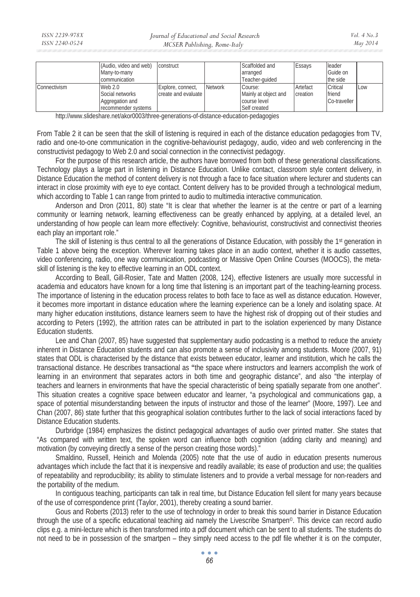|              | (Audio, video and web) | construct           |         | Scaffolded and       | Essays   | <b>I</b> leader |     |
|--------------|------------------------|---------------------|---------|----------------------|----------|-----------------|-----|
|              | Many-to-many           |                     |         | arranged             |          | Guide on        |     |
|              | communication          |                     |         | Teacher-guided       |          | the side        |     |
| Connectivism | Web 2.0                | Explore, connect,   | Network | Course:              | Artefact | Critical        | Low |
|              | Social networks        | create and evaluate |         | Mainly at object and | creation | friend          |     |
|              | Aggregation and        |                     |         | course level         |          | Co-traveller    |     |
|              | recommender systems    |                     |         | Self created         |          |                 |     |

http://www.slideshare.net/akor0003/three-generations-of-distance-education-pedagogies

From Table 2 it can be seen that the skill of listening is required in each of the distance education pedagogies from TV, radio and one-to-one communication in the cognitive-behaviourist pedagogy, audio, video and web conferencing in the constructivist pedagogy to Web 2.0 and social connection in the connectivist pedagogy.

For the purpose of this research article, the authors have borrowed from both of these generational classifications. Technology plays a large part in listening in Distance Education. Unlike contact, classroom style content delivery, in Distance Education the method of content delivery is not through a face to face situation where lecturer and students can interact in close proximity with eye to eye contact. Content delivery has to be provided through a technological medium, which according to Table 1 can range from printed to audio to multimedia interactive communication.

Anderson and Dron (2011, 80) state "It is clear that whether the learner is at the centre or part of a learning community or learning network, learning effectiveness can be greatly enhanced by applying, at a detailed level, an understanding of how people can learn more effectively: Cognitive, behaviourist, constructivist and connectivist theories each play an important role."

The skill of listening is thus central to all the generations of Distance Education, with possibly the 1<sup>st</sup> generation in Table 1 above being the exception. Wherever learning takes place in an audio context, whether it is audio cassettes, video conferencing, radio, one way communication, podcasting or Massive Open Online Courses (MOOCS), the metaskill of listening is the key to effective learning in an ODL context.

According to Beall, Gill-Rosier, Tate and Matten (2008, 124), effective listeners are usually more successful in academia and educators have known for a long time that listening is an important part of the teaching-learning process. The importance of listening in the education process relates to both face to face as well as distance education. However, it becomes more important in distance education where the learning experience can be a lonely and isolating space. At many higher education institutions, distance learners seem to have the highest risk of dropping out of their studies and according to Peters (1992), the attrition rates can be attributed in part to the isolation experienced by many Distance Education students.

Lee and Chan (2007, 85) have suggested that supplementary audio podcasting is a method to reduce the anxiety inherent in Distance Education students and can also promote a sense of inclusivity among students. Moore (2007, 91) states that ODL is characterised by the distance that exists between educator, learner and institution, which he calls the transactional distance. He describes transactional as **"**the space where instructors and learners accomplish the work of learning in an environment that separates actors in both time and geographic distance", and also "the interplay of teachers and learners in environments that have the special characteristic of being spatially separate from one another". This situation creates a cognitive space between educator and learner, "a psychological and communications gap, a space of potential misunderstanding between the inputs of instructor and those of the learner" (Moore, 1997). Lee and Chan (2007, 86) state further that this geographical isolation contributes further to the lack of social interactions faced by Distance Education students.

Durbridge (1984) emphasizes the distinct pedagogical advantages of audio over printed matter. She states that "As compared with written text, the spoken word can influence both cognition (adding clarity and meaning) and motivation (by conveying directly a sense of the person creating those words)."

Smaldino, Russell, Heinich and Molenda (2005) note that the use of audio in education presents numerous advantages which include the fact that it is inexpensive and readily available; its ease of production and use; the qualities of repeatability and reproducibility; its ability to stimulate listeners and to provide a verbal message for non-readers and the portability of the medium.

In contiguous teaching, participants can talk in real time, but Distance Education fell silent for many years because of the use of correspondence print (Taylor, 2001), thereby creating a sound barrier.

Gous and Roberts (2013) refer to the use of technology in order to break this sound barrier in Distance Education through the use of a specific educational teaching aid namely the Livescribe Smartpen©. This device can record audio clips e.g. a mini-lecture which is then transformed into a pdf document which can be sent to all students. The students do not need to be in possession of the smartpen – they simply need access to the pdf file whether it is on the computer,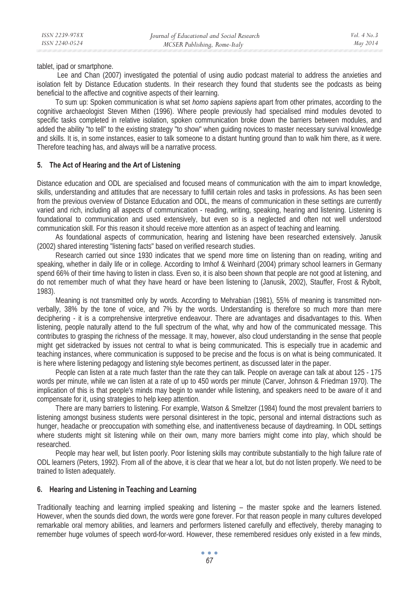tablet, ipad or smartphone.

 Lee and Chan (2007) investigated the potential of using audio podcast material to address the anxieties and isolation felt by Distance Education students. In their research they found that students see the podcasts as being beneficial to the affective and cognitive aspects of their learning.

To sum up: Spoken communication is what set *homo sapiens sapiens* apart from other primates, according to the cognitive archaeologist Steven Mithen (1996). Where people previously had specialised mind modules devoted to specific tasks completed in relative isolation, spoken communication broke down the barriers between modules, and added the ability "to tell" to the existing strategy "to show" when guiding novices to master necessary survival knowledge and skills. It is, in some instances, easier to talk someone to a distant hunting ground than to walk him there, as it were. Therefore teaching has, and always will be a narrative process.

### **5. The Act of Hearing and the Art of Listening**

Distance education and ODL are specialised and focused means of communication with the aim to impart knowledge, skills, understanding and attitudes that are necessary to fulfill certain roles and tasks in professions. As has been seen from the previous overview of Distance Education and ODL, the means of communication in these settings are currently varied and rich, including all aspects of communication - reading, writing, speaking, hearing and listening. Listening is foundational to communication and used extensively, but even so is a neglected and often not well understood communication skill. For this reason it should receive more attention as an aspect of teaching and learning.

As foundational aspects of communication, hearing and listening have been researched extensively. Janusik (2002) shared interesting "listening facts" based on verified research studies.

Research carried out since 1930 indicates that we spend more time on listening than on reading, writing and speaking, whether in daily life or in college. According to Imhof & Weinhard (2004) primary school learners in Germany spend 66% of their time having to listen in class. Even so, it is also been shown that people are not good at listening, and do not remember much of what they have heard or have been listening to (Janusik, 2002), Stauffer, Frost & Rybolt, 1983).

Meaning is not transmitted only by words. According to Mehrabian (1981), 55% of meaning is transmitted nonverbally, 38% by the tone of voice, and 7% by the words. Understanding is therefore so much more than mere deciphering - it is a comprehensive interpretive endeavour. There are advantages and disadvantages to this. When listening, people naturally attend to the full spectrum of the what, why and how of the communicated message. This contributes to grasping the richness of the message. It may, however, also cloud understanding in the sense that people might get sidetracked by issues not central to what is being communicated. This is especially true in academic and teaching instances, where communication is supposed to be precise and the focus is on what is being communicated. It is here where listening pedagogy and listening style becomes pertinent, as discussed later in the paper.

People can listen at a rate much faster than the rate they can talk. People on average can talk at about 125 - 175 words per minute, while we can listen at a rate of up to 450 words per minute (Carver, Johnson & Friedman 1970). The implication of this is that people's minds may begin to wander while listening, and speakers need to be aware of it and compensate for it, using strategies to help keep attention.

There are many barriers to listening. For example, Watson & Smeltzer (1984) found the most prevalent barriers to listening amongst business students were personal disinterest in the topic, personal and internal distractions such as hunger, headache or preoccupation with something else, and inattentiveness because of daydreaming. In ODL settings where students might sit listening while on their own, many more barriers might come into play, which should be researched.

People may hear well, but listen poorly. Poor listening skills may contribute substantially to the high failure rate of ODL learners (Peters, 1992). From all of the above, it is clear that we hear a lot, but do not listen properly. We need to be trained to listen adequately.

### **6. Hearing and Listening in Teaching and Learning**

Traditionally teaching and learning implied speaking and listening – the master spoke and the learners listened. However, when the sounds died down, the words were gone forever. For that reason people in many cultures developed remarkable oral memory abilities, and learners and performers listened carefully and effectively, thereby managing to remember huge volumes of speech word-for-word. However, these remembered residues only existed in a few minds,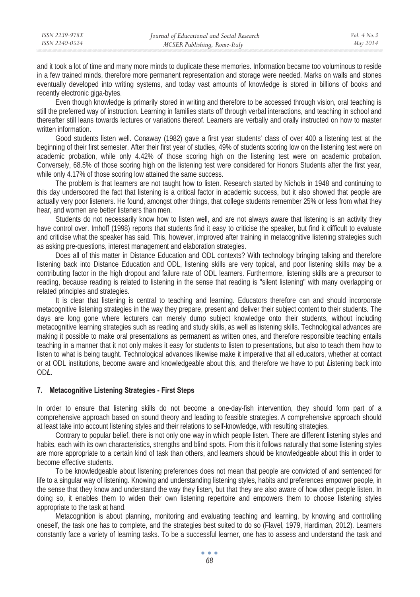and it took a lot of time and many more minds to duplicate these memories. Information became too voluminous to reside in a few trained minds, therefore more permanent representation and storage were needed. Marks on walls and stones eventually developed into writing systems, and today vast amounts of knowledge is stored in billions of books and recently electronic giga-bytes.

Even though knowledge is primarily stored in writing and therefore to be accessed through vision, oral teaching is still the preferred way of instruction. Learning in families starts off through verbal interactions, and teaching in school and thereafter still leans towards lectures or variations thereof. Learners are verbally and orally instructed on how to master written information.

Good students listen well. Conaway (1982) gave a first year students' class of over 400 a listening test at the beginning of their first semester. After their first year of studies, 49% of students scoring low on the listening test were on academic probation, while only 4.42% of those scoring high on the listening test were on academic probation. Conversely, 68.5% of those scoring high on the listening test were considered for Honors Students after the first year, while only 4.17% of those scoring low attained the same success.

The problem is that learners are not taught how to listen. Research started by Nichols in 1948 and continuing to this day underscored the fact that listening is a critical factor in academic success, but it also showed that people are actually very poor listeners. He found, amongst other things, that college students remember 25% or less from what they hear, and women are better listeners than men.

Students do not necessarily know how to listen well, and are not always aware that listening is an activity they have control over. Imhoff (1998) reports that students find it easy to criticise the speaker, but find it difficult to evaluate and criticise what the speaker has said. This, however, improved after training in metacognitive listening strategies such as asking pre-questions, interest management and elaboration strategies.

Does all of this matter in Distance Education and ODL contexts? With technology bringing talking and therefore listening back into Distance Education and ODL, listening skills are very topical, and poor listening skills may be a contributing factor in the high dropout and failure rate of ODL learners. Furthermore, listening skills are a precursor to reading, because reading is related to listening in the sense that reading is "silent listening" with many overlapping or related principles and strategies.

It is clear that listening is central to teaching and learning. Educators therefore can and should incorporate metacognitive listening strategies in the way they prepare, present and deliver their subject content to their students. The days are long gone where lecturers can merely dump subject knowledge onto their students, without including metacognitive learning strategies such as reading and study skills, as well as listening skills. Technological advances are making it possible to make oral presentations as permanent as written ones, and therefore responsible teaching entails teaching in a manner that it not only makes it easy for students to listen to presentations, but also to teach them how to listen to what is being taught. Technological advances likewise make it imperative that all educators, whether at contact or at ODL institutions, become aware and knowledgeable about this, and therefore we have to put *L*istening back into OD*L*.

### **7. Metacognitive Listening Strategies - First Steps**

In order to ensure that listening skills do not become a one-day-fish intervention, they should form part of a comprehensive approach based on sound theory and leading to feasible strategies. A comprehensive approach should at least take into account listening styles and their relations to self-knowledge, with resulting strategies.

Contrary to popular belief, there is not only one way in which people listen. There are different listening styles and habits, each with its own characteristics, strengths and blind spots. From this it follows naturally that some listening styles are more appropriate to a certain kind of task than others, and learners should be knowledgeable about this in order to become effective students.

To be knowledgeable about listening preferences does not mean that people are convicted of and sentenced for life to a singular way of listening. Knowing and understanding listening styles, habits and preferences empower people, in the sense that they know and understand the way they listen, but that they are also aware of how other people listen. In doing so, it enables them to widen their own listening repertoire and empowers them to choose listening styles appropriate to the task at hand.

Metacognition is about planning, monitoring and evaluating teaching and learning, by knowing and controlling oneself, the task one has to complete, and the strategies best suited to do so (Flavel, 1979, Hardiman, 2012). Learners constantly face a variety of learning tasks. To be a successful learner, one has to assess and understand the task and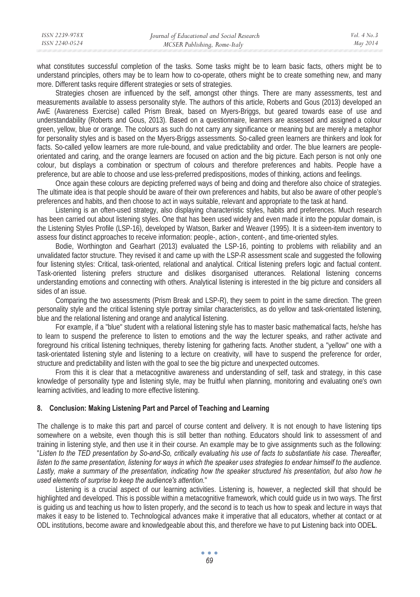| ISSN 2239-978X | Journal of Educational and Social Research | Vol. $4$ No. $3$ |
|----------------|--------------------------------------------|------------------|
| ISSN 2240-0524 | MCSER Publishing, Rome-Italy               | May 2014         |
|                |                                            |                  |

what constitutes successful completion of the tasks. Some tasks might be to learn basic facts, others might be to understand principles, others may be to learn how to co-operate, others might be to create something new, and many more. Different tasks require different strategies or sets of strategies.

Strategies chosen are influenced by the self, amongst other things. There are many assessments, test and measurements available to assess personality style. The authors of this article, Roberts and Gous (2013) developed an AwE (Awareness Exercise) called Prism Break, based on Myers-Briggs, but geared towards ease of use and understandability (Roberts and Gous, 2013). Based on a questionnaire, learners are assessed and assigned a colour green, yellow, blue or orange. The colours as such do not carry any significance or meaning but are merely a metaphor for personality styles and is based on the Myers-Briggs assessments. So-called green learners are thinkers and look for facts. So-called yellow learners are more rule-bound, and value predictability and order. The blue learners are peopleorientated and caring, and the orange learners are focused on action and the big picture. Each person is not only one colour, but displays a combination or spectrum of colours and therefore preferences and habits. People have a preference, but are able to choose and use less-preferred predispositions, modes of thinking, actions and feelings.

Once again these colours are depicting preferred ways of being and doing and therefore also choice of strategies. The ultimate idea is that people should be aware of their own preferences and habits, but also be aware of other people's preferences and habits, and then choose to act in ways suitable, relevant and appropriate to the task at hand.

Listening is an often-used strategy, also displaying characteristic styles, habits and preferences. Much research has been carried out about listening styles. One that has been used widely and even made it into the popular domain, is the Listening Styles Profile (LSP-16), developed by Watson, Barker and Weaver (1995). It is a sixteen-item inventory to assess four distinct approaches to receive information: people-, action-, content-, and time-oriented styles.

Bodie, Worthington and Gearhart (2013) evaluated the LSP-16, pointing to problems with reliability and an unvalidated factor structure. They revised it and came up with the LSP-R assessment scale and suggested the following four listening styles: Critical, task-oriented, relational and analytical. Critical listening prefers logic and factual content. Task-oriented listening prefers structure and dislikes disorganised utterances. Relational listening concerns understanding emotions and connecting with others. Analytical listening is interested in the big picture and considers all sides of an issue.

Comparing the two assessments (Prism Break and LSP-R), they seem to point in the same direction. The green personality style and the critical listening style portray similar characteristics, as do yellow and task-orientated listening, blue and the relational listening and orange and analytical listening.

For example, if a "blue" student with a relational listening style has to master basic mathematical facts, he/she has to learn to suspend the preference to listen to emotions and the way the lecturer speaks, and rather activate and foreground his critical listening techniques, thereby listening for gathering facts. Another student, a "yellow" one with a task-orientated listening style and listening to a lecture on creativity, will have to suspend the preference for order, structure and predictability and listen with the goal to see the big picture and unexpected outcomes.

From this it is clear that a metacognitive awareness and understanding of self, task and strategy, in this case knowledge of personality type and listening style, may be fruitful when planning, monitoring and evaluating one's own learning activities, and leading to more effective listening.

## **8. Conclusion: Making Listening Part and Parcel of Teaching and Learning**

The challenge is to make this part and parcel of course content and delivery. It is not enough to have listening tips somewhere on a website, even though this is still better than nothing. Educators should link to assessment of and training in listening style, and then use it in their course. An example may be to give assignments such as the following: "*Listen to the TED presentation by So-and-So, critically evaluating his use of facts to substantiate his case. Thereafter, listen to the same presentation, listening for ways in which the speaker uses strategies to endear himself to the audience.*  Lastly, make a summary of the presentation, indicating how the speaker structured his presentation, but also how he *used elements of surprise to keep the audience's attention.*"

Listening is a crucial aspect of our learning activities. Listening is, however, a neglected skill that should be highlighted and developed. This is possible within a metacognitive framework, which could guide us in two ways. The first is guiding us and teaching us how to listen properly, and the second is to teach us how to speak and lecture in ways that makes it easy to be listened to. Technological advances make it imperative that all educators, whether at contact or at ODL institutions, become aware and knowledgeable about this, and therefore we have to put **L**istening back into ODE**L**.